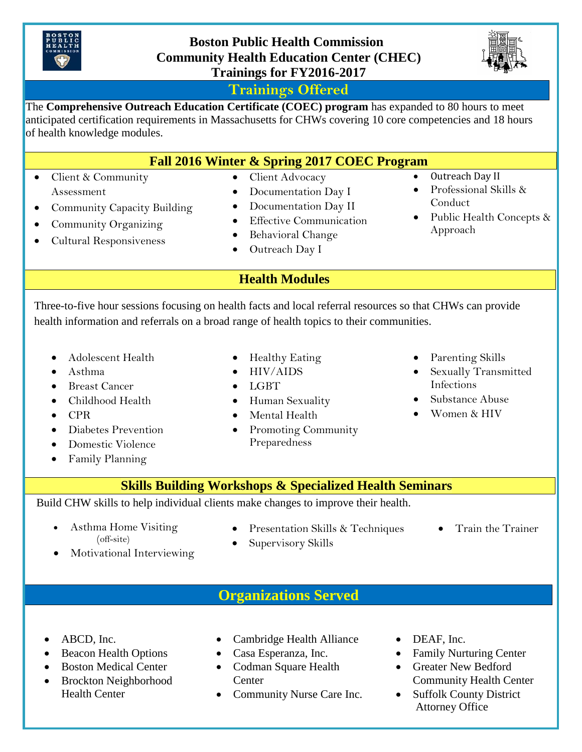

## **Boston Public Health Commission Community Health Education Center (CHEC) Trainings for FY2016-2017**



## **Trainings Offered**

The **Comprehensive Outreach Education Certificate (COEC) program** has expanded to 80 hours to meet anticipated certification requirements in Massachusetts for CHWs covering 10 core competencies and 18 hours of health knowledge modules.

| Fall 2016 Winter & Spring 2017 COEC Program |  |  |  |
|---------------------------------------------|--|--|--|
|---------------------------------------------|--|--|--|

- Client & Community Assessment
- Community Capacity Building
- Community Organizing
- Cultural Responsiveness
- Client Advocacy
- Documentation Day I • Documentation Day II
- **•** Effective Communication
- Behavioral Change
- Outreach Day I
- Outreach Day II
- Professional Skills & Conduct
- Public Health Concepts & Approach

**Health Modules**

Three-to-five hour sessions focusing on health facts and local referral resources so that CHWs can provide health information and referrals on a broad range of health topics to their communities.

- Adolescent Health
- Asthma
- Breast Cancer
- Childhood Health
- $\bullet$  CPR
- Diabetes Prevention
- Domestic Violence
- Family Planning
- Healthy Eating
- HIV/AIDS
- LGBT
- Human Sexuality
- Mental Health
- Promoting Community Preparedness
- Parenting Skills
- Sexually Transmitted Infections
- Substance Abuse
- Women & HIV
- **Skills Building Workshops & Specialized Health Seminars**

Build CHW skills to help individual clients make changes to improve their health.

- Asthma Home Visiting (off-site)
- Presentation Skills & Techniques
- Train the Trainer
- Motivational Interviewing
- Supervisory Skills
- 

**Organizations Served**

- ABCD, Inc.
- Beacon Health Options
- Boston Medical Center
- Brockton Neighborhood Health Center
- Cambridge Health Alliance
- Casa Esperanza, Inc.
- Codman Square Health **Center**
- Community Nurse Care Inc.
- DEAF, Inc.
- Family Nurturing Center
- Greater New Bedford Community Health Center
- Suffolk County District Attorney Office